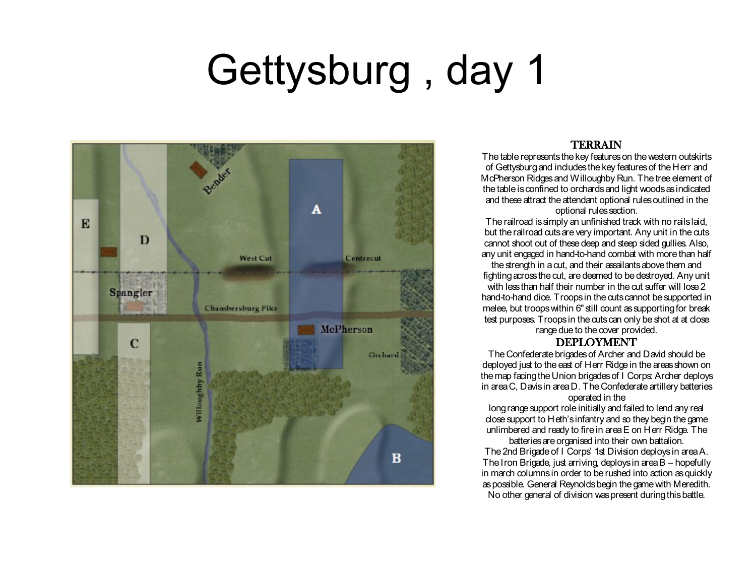## Gettysburg , day 1



### TERRAIN

The table represents the key features on the western outskirts of Gettysburg and includes the key features of the Herr and McPherson Ridges and Willoughby Run. The tree element of the table is confined to orchards and light woods as indicated and these attract the attendant optional rules outlined in the optional rules section.

The railroad is simply an unfinished track with no rails laid, but the railroad cuts are very important. Any unit in the cuts cannot shoot out of these deep and steep sided gullies. Also, any unit engaged in hand-to-hand combat with more than half the strength in a cut, and their assailants above them and fighting across the cut, are deemed to be destroyed. Any unit with less than half their number in the cut suffer will lose 2 hand-to-hand dice. Troops in the cuts cannot be supported in melee, but troops within 6" still count as supporting for break test purposes. Troops in the cuts can only be shot at at close range due to the cover provided.

#### DEPLOYMENT

The Confederate brigades of Archer and David should be deployed just to the east of Herr Ridge in the areas shown on the map facing the Union brigades of I Corps: Archer deploys in area C, Davis in area D. The Confederate artillery batteries

#### operated in the

long range support role initially and failed to lend any real close support to Heth's infantry and so they begin the game unlimbered and ready to fire in area E on Herr Ridge. The

batteries are organised into their own battalion. The 2nd Brigade of I Corps' 1st Division deploys in area A. The Iron Brigade, just arriving, deploys in area B – hopefully in march columns in order to be rushed into action as quickly as possible. General Reynolds begin the game with Meredith. No other general of division was present during this battle.